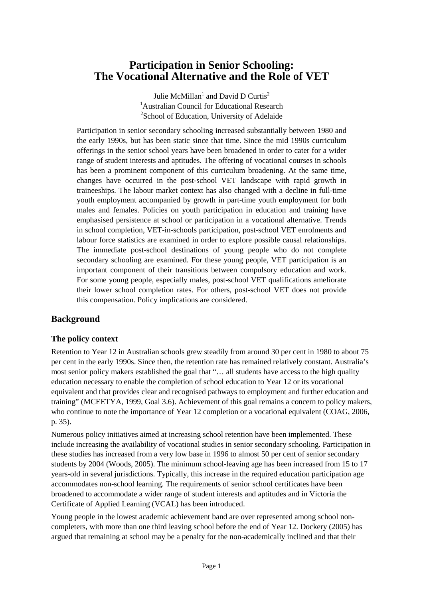# **Participation in Senior Schooling: The Vocational Alternative and the Role of VET**

Julie McMillan<sup>1</sup> and David D Curtis<sup>2</sup> <sup>1</sup>Australian Council for Educational Research <sup>2</sup>School of Education, University of Adelaide

Participation in senior secondary schooling increased substantially between 1980 and the early 1990s, but has been static since that time. Since the mid 1990s curriculum offerings in the senior school years have been broadened in order to cater for a wider range of student interests and aptitudes. The offering of vocational courses in schools has been a prominent component of this curriculum broadening. At the same time, changes have occurred in the post-school VET landscape with rapid growth in traineeships. The labour market context has also changed with a decline in full-time youth employment accompanied by growth in part-time youth employment for both males and females. Policies on youth participation in education and training have emphasised persistence at school or participation in a vocational alternative. Trends in school completion, VET-in-schools participation, post-school VET enrolments and labour force statistics are examined in order to explore possible causal relationships. The immediate post-school destinations of young people who do not complete secondary schooling are examined. For these young people, VET participation is an important component of their transitions between compulsory education and work. For some young people, especially males, post-school VET qualifications ameliorate their lower school completion rates. For others, post-school VET does not provide this compensation. Policy implications are considered.

## **Background**

## **The policy context**

Retention to Year 12 in Australian schools grew steadily from around 30 per cent in 1980 to about 75 per cent in the early 1990s. Since then, the retention rate has remained relatively constant. Australia's most senior policy makers established the goal that "… all students have access to the high quality education necessary to enable the completion of school education to Year 12 or its vocational equivalent and that provides clear and recognised pathways to employment and further education and training" (MCEETYA, 1999, Goal 3.6). Achievement of this goal remains a concern to policy makers, who continue to note the importance of Year 12 completion or a vocational equivalent (COAG, 2006, p. 35).

Numerous policy initiatives aimed at increasing school retention have been implemented. These include increasing the availability of vocational studies in senior secondary schooling. Participation in these studies has increased from a very low base in 1996 to almost 50 per cent of senior secondary students by 2004 (Woods, 2005). The minimum school-leaving age has been increased from 15 to 17 years-old in several jurisdictions. Typically, this increase in the required education participation age accommodates non-school learning. The requirements of senior school certificates have been broadened to accommodate a wider range of student interests and aptitudes and in Victoria the Certificate of Applied Learning (VCAL) has been introduced.

Young people in the lowest academic achievement band are over represented among school noncompleters, with more than one third leaving school before the end of Year 12. Dockery (2005) has argued that remaining at school may be a penalty for the non-academically inclined and that their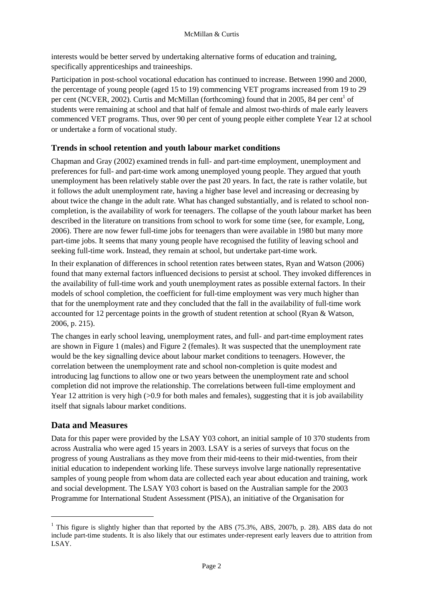interests would be better served by undertaking alternative forms of education and training, specifically apprenticeships and traineeships.

Participation in post-school vocational education has continued to increase. Between 1990 and 2000, the percentage of young people (aged 15 to 19) commencing VET programs increased from 19 to 29 per cent (NCVER, 2002). Curtis and McMillan (forthcoming) found that in 2005, 84 per cent<sup>1</sup> of students were remaining at school and that half of female and almost two-thirds of male early leavers commenced VET programs. Thus, over 90 per cent of young people either complete Year 12 at school or undertake a form of vocational study.

## **Trends in school retention and youth labour market conditions**

Chapman and Gray (2002) examined trends in full- and part-time employment, unemployment and preferences for full- and part-time work among unemployed young people. They argued that youth unemployment has been relatively stable over the past 20 years. In fact, the rate is rather volatile, but it follows the adult unemployment rate, having a higher base level and increasing or decreasing by about twice the change in the adult rate. What has changed substantially, and is related to school noncompletion, is the availability of work for teenagers. The collapse of the youth labour market has been described in the literature on transitions from school to work for some time (see, for example, Long, 2006). There are now fewer full-time jobs for teenagers than were available in 1980 but many more part-time jobs. It seems that many young people have recognised the futility of leaving school and seeking full-time work. Instead, they remain at school, but undertake part-time work.

In their explanation of differences in school retention rates between states, Ryan and Watson (2006) found that many external factors influenced decisions to persist at school. They invoked differences in the availability of full-time work and youth unemployment rates as possible external factors. In their models of school completion, the coefficient for full-time employment was very much higher than that for the unemployment rate and they concluded that the fall in the availability of full-time work accounted for 12 percentage points in the growth of student retention at school (Ryan & Watson, 2006, p. 215).

The changes in early school leaving, unemployment rates, and full- and part-time employment rates are shown in Figure 1 (males) and Figure 2 (females). It was suspected that the unemployment rate would be the key signalling device about labour market conditions to teenagers. However, the correlation between the unemployment rate and school non-completion is quite modest and introducing lag functions to allow one or two years between the unemployment rate and school completion did not improve the relationship. The correlations between full-time employment and Year 12 attrition is very high (>0.9 for both males and females), suggesting that it is job availability itself that signals labour market conditions.

## **Data and Measures**

 $\overline{a}$ 

Data for this paper were provided by the LSAY Y03 cohort, an initial sample of 10 370 students from across Australia who were aged 15 years in 2003. LSAY is a series of surveys that focus on the progress of young Australians as they move from their mid-teens to their mid-twenties, from their initial education to independent working life. These surveys involve large nationally representative samples of young people from whom data are collected each year about education and training, work and social development. The LSAY Y03 cohort is based on the Australian sample for the 2003 Programme for International Student Assessment (PISA), an initiative of the Organisation for

<sup>&</sup>lt;sup>1</sup> This figure is slightly higher than that reported by the ABS (75.3%, ABS, 2007b, p. 28). ABS data do not include part-time students. It is also likely that our estimates under-represent early leavers due to attrition from LSAY.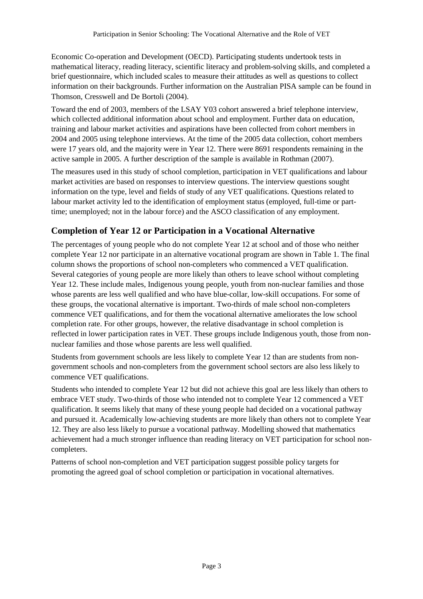Economic Co-operation and Development (OECD). Participating students undertook tests in mathematical literacy, reading literacy, scientific literacy and problem-solving skills, and completed a brief questionnaire, which included scales to measure their attitudes as well as questions to collect information on their backgrounds. Further information on the Australian PISA sample can be found in Thomson, Cresswell and De Bortoli (2004).

Toward the end of 2003, members of the LSAY Y03 cohort answered a brief telephone interview, which collected additional information about school and employment. Further data on education, training and labour market activities and aspirations have been collected from cohort members in 2004 and 2005 using telephone interviews. At the time of the 2005 data collection, cohort members were 17 years old, and the majority were in Year 12. There were 8691 respondents remaining in the active sample in 2005. A further description of the sample is available in Rothman (2007).

The measures used in this study of school completion, participation in VET qualifications and labour market activities are based on responses to interview questions. The interview questions sought information on the type, level and fields of study of any VET qualifications. Questions related to labour market activity led to the identification of employment status (employed, full-time or parttime; unemployed; not in the labour force) and the ASCO classification of any employment.

## **Completion of Year 12 or Participation in a Vocational Alternative**

The percentages of young people who do not complete Year 12 at school and of those who neither complete Year 12 nor participate in an alternative vocational program are shown in Table 1. The final column shows the proportions of school non-completers who commenced a VET qualification. Several categories of young people are more likely than others to leave school without completing Year 12. These include males, Indigenous young people, youth from non-nuclear families and those whose parents are less well qualified and who have blue-collar, low-skill occupations. For some of these groups, the vocational alternative is important. Two-thirds of male school non-completers commence VET qualifications, and for them the vocational alternative ameliorates the low school completion rate. For other groups, however, the relative disadvantage in school completion is reflected in lower participation rates in VET. These groups include Indigenous youth, those from nonnuclear families and those whose parents are less well qualified.

Students from government schools are less likely to complete Year 12 than are students from nongovernment schools and non-completers from the government school sectors are also less likely to commence VET qualifications.

Students who intended to complete Year 12 but did not achieve this goal are less likely than others to embrace VET study. Two-thirds of those who intended not to complete Year 12 commenced a VET qualification. It seems likely that many of these young people had decided on a vocational pathway and pursued it. Academically low-achieving students are more likely than others not to complete Year 12. They are also less likely to pursue a vocational pathway. Modelling showed that mathematics achievement had a much stronger influence than reading literacy on VET participation for school noncompleters.

Patterns of school non-completion and VET participation suggest possible policy targets for promoting the agreed goal of school completion or participation in vocational alternatives.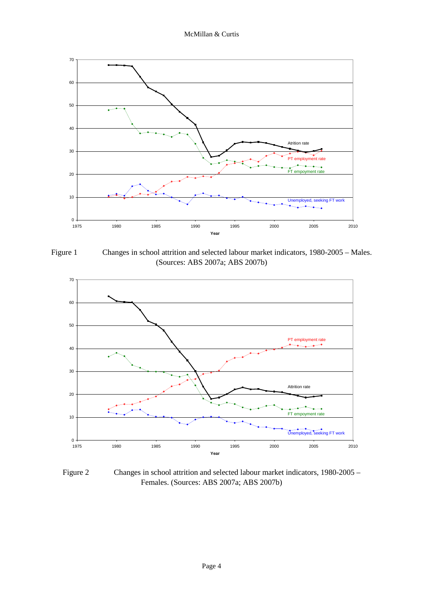

Figure 1 Changes in school attrition and selected labour market indicators, 1980-2005 – Males. (Sources: ABS 2007a; ABS 2007b)



Figure 2 Changes in school attrition and selected labour market indicators, 1980-2005 – Females. (Sources: ABS 2007a; ABS 2007b)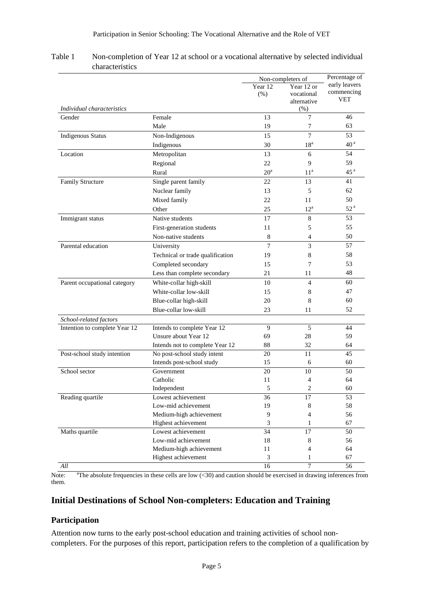|                               |                                  | Non-completers of  |                                                 | Percentage of                             |
|-------------------------------|----------------------------------|--------------------|-------------------------------------------------|-------------------------------------------|
| Individual characteristics    |                                  | Year 12<br>$(\% )$ | Year 12 or<br>vocational<br>alternative<br>(% ) | early leavers<br>commencing<br><b>VET</b> |
| Gender                        | Female                           | 13                 | 7                                               | 46                                        |
|                               | Male                             | 19                 | 7                                               | 63                                        |
| <b>Indigenous Status</b>      | Non-Indigenous                   | 15                 | 7                                               | 53                                        |
|                               | Indigenous                       | 30                 | $18^a$                                          | 40 <sup>a</sup>                           |
| Location                      | Metropolitan                     | 13                 | 6                                               | 54                                        |
|                               | Regional                         | 22                 | 9                                               | 59                                        |
|                               | Rural                            | $20^{\rm a}$       | $11^a$                                          | 45 <sup>a</sup>                           |
| Family Structure              | Single parent family             | 22                 | 13                                              | 41                                        |
|                               | Nuclear family                   | 13                 | 5                                               | 62                                        |
|                               | Mixed family                     | 22                 | 11                                              | 50                                        |
|                               | Other                            | 25                 | $12^a$                                          | 52 <sup>a</sup>                           |
| Immigrant status              | Native students                  | 17                 | 8                                               | 53                                        |
|                               | First-generation students        | 11                 | 5                                               | 55                                        |
|                               | Non-native students              | $\,8\,$            | $\overline{4}$                                  | 50                                        |
| Parental education            | University                       | $\overline{7}$     | 3                                               | 57                                        |
|                               | Technical or trade qualification | 19                 | 8                                               | 58                                        |
|                               | Completed secondary              | 15                 | 7                                               | 53                                        |
|                               | Less than complete secondary     | 21                 | 11                                              | 48                                        |
| Parent occupational category  | White-collar high-skill          | 10                 | 4                                               | 60                                        |
|                               | White-collar low-skill           | 15                 | 8                                               | 47                                        |
|                               | Blue-collar high-skill           | 20                 | 8                                               | 60                                        |
|                               | Blue-collar low-skill            | 23                 | 11                                              | 52                                        |
| School-related factors        |                                  |                    |                                                 |                                           |
| Intention to complete Year 12 | Intends to complete Year 12      | 9                  | 5                                               | 44                                        |
|                               | Unsure about Year 12             | 69                 | 28                                              | 59                                        |
|                               | Intends not to complete Year 12  | 88                 | 32                                              | 64                                        |
| Post-school study intention   | No post-school study intent      | 20                 | 11                                              | 45                                        |
|                               | Intends post-school study        | 15                 | 6                                               | 60                                        |
| School sector                 | Government                       | 20                 | 10                                              | 50                                        |
|                               | Catholic                         | 11                 | 4                                               | 64                                        |
|                               | Independent                      | 5                  | $\overline{2}$                                  | 60                                        |
| Reading quartile              | Lowest achievement               | 36                 | 17                                              | 53                                        |
|                               | Low-mid achievement              | 19                 | 8                                               | 58                                        |
|                               | Medium-high achievement          | $\overline{9}$     | 4                                               | 56                                        |
|                               | Highest achievement              | 3                  | 1                                               | 67                                        |
| Maths quartile                | Lowest achievement               | 34                 | 17                                              | 50                                        |
|                               | Low-mid achievement              | 18                 | 8                                               | 56                                        |
|                               | Medium-high achievement          | 11                 | $\overline{4}$                                  | 64                                        |
|                               | Highest achievement              | $\mathfrak{Z}$     | 1                                               | 67                                        |
| $\cal All$                    |                                  | $\overline{16}$    | $\overline{7}$                                  | 56                                        |

#### Table 1 Non-completion of Year 12 at school or a vocational alternative by selected individual characteristics

Note: <sup>a</sup>The absolute frequencies in these cells are low  $(\leq 30)$  and caution should be exercised in drawing inferences from them.

# **Initial Destinations of School Non-completers: Education and Training**

### **Participation**

Attention now turns to the early post-school education and training activities of school noncompleters. For the purposes of this report, participation refers to the completion of a qualification by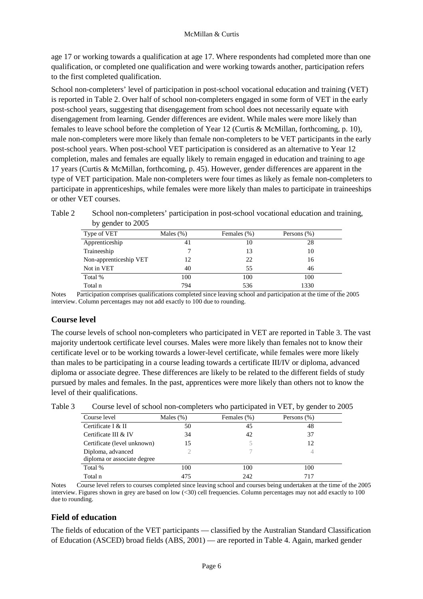age 17 or working towards a qualification at age 17. Where respondents had completed more than one qualification, or completed one qualification and were working towards another, participation refers to the first completed qualification.

School non-completers' level of participation in post-school vocational education and training (VET) is reported in Table 2. Over half of school non-completers engaged in some form of VET in the early post-school years, suggesting that disengagement from school does not necessarily equate with disengagement from learning. Gender differences are evident. While males were more likely than females to leave school before the completion of Year 12 (Curtis & McMillan, forthcoming, p. 10), male non-completers were more likely than female non-completers to be VET participants in the early post-school years. When post-school VET participation is considered as an alternative to Year 12 completion, males and females are equally likely to remain engaged in education and training to age 17 years (Curtis & McMillan, forthcoming, p. 45). However, gender differences are apparent in the type of VET participation. Male non-completers were four times as likely as female non-completers to participate in apprenticeships, while females were more likely than males to participate in traineeships or other VET courses.

Table 2 School non-completers' participation in post-school vocational education and training, by gender to 2005

| Type of VET            | Males $(\%)$ | Females (%) | Persons (%) |
|------------------------|--------------|-------------|-------------|
| Apprenticeship         | 41           | 10          | 28          |
| Traineeship            |              | 13          | 10          |
| Non-apprenticeship VET | 12           | 22          | 16          |
| Not in VET             | 40           | 55          | 46          |
| Total %                | 100          | 100         | 100         |
| Total n                | 794          | 536         | 1330        |

Notes Participation comprises qualifications completed since leaving school and participation at the time of the 2005 interview. Column percentages may not add exactly to 100 due to rounding.

### **Course level**

The course levels of school non-completers who participated in VET are reported in Table 3. The vast majority undertook certificate level courses. Males were more likely than females not to know their certificate level or to be working towards a lower-level certificate, while females were more likely than males to be participating in a course leading towards a certificate III/IV or diploma, advanced diploma or associate degree. These differences are likely to be related to the different fields of study pursued by males and females. In the past, apprentices were more likely than others not to know the level of their qualifications.

| Course level                | Males $(\%)$ | Females (%) | Persons (%) |  |
|-----------------------------|--------------|-------------|-------------|--|
| Certificate I & II          | 50           | 45          | 48          |  |
| Certificate III & IV        | 34           | 42          | 37          |  |
| Certificate (level unknown) | 15           |             | 12          |  |
| Diploma, advanced           |              |             |             |  |
| diploma or associate degree |              |             |             |  |
| Total %                     | 100          | 100         | 100         |  |
| Total n                     | 475          | 242         | 717         |  |

Table 3 Course level of school non-completers who participated in VET, by gender to 2005

Notes Course level refers to courses completed since leaving school and courses being undertaken at the time of the 2005 interview. Figures shown in grey are based on low (<30) cell frequencies. Column percentages may not add exactly to 100 due to rounding.

### **Field of education**

The fields of education of the VET participants — classified by the Australian Standard Classification of Education (ASCED) broad fields (ABS, 2001) — are reported in Table 4. Again, marked gender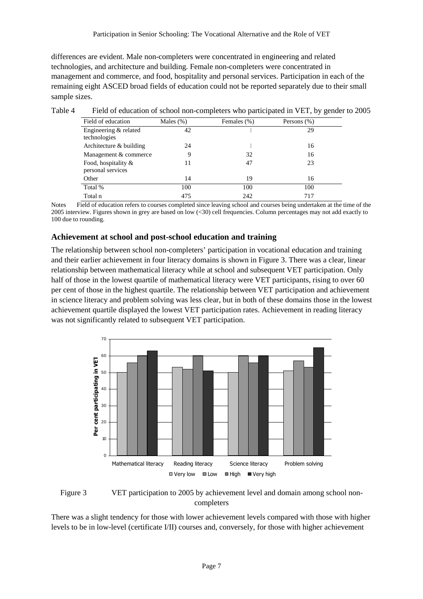differences are evident. Male non-completers were concentrated in engineering and related technologies, and architecture and building. Female non-completers were concentrated in management and commerce, and food, hospitality and personal services. Participation in each of the remaining eight ASCED broad fields of education could not be reported separately due to their small sample sizes.

| Field of education                       | Males $(\%)$ | Females (%) | Persons (%) |
|------------------------------------------|--------------|-------------|-------------|
| Engineering & related<br>technologies    | 42           |             | 29          |
| Architecture $&$ building                | 24           |             | 16          |
| Management & commerce                    | 9            | 32          | 16          |
| Food, hospitality &<br>personal services | 11           | 47          | 23          |
| Other                                    | 14           | 19          | 16          |
| Total %                                  | 100          | 100         | 100         |
| Total n                                  | 475          | 242         | 717         |

Table 4 Field of education of school non-completers who participated in VET, by gender to 2005

Notes Field of education refers to courses completed since leaving school and courses being undertaken at the time of the 2005 interview. Figures shown in grey are based on low (<30) cell frequencies. Column percentages may not add exactly to 100 due to rounding.

### **Achievement at school and post-school education and training**

The relationship between school non-completers' participation in vocational education and training and their earlier achievement in four literacy domains is shown in Figure 3. There was a clear, linear relationship between mathematical literacy while at school and subsequent VET participation. Only half of those in the lowest quartile of mathematical literacy were VET participants, rising to over 60 per cent of those in the highest quartile. The relationship between VET participation and achievement in science literacy and problem solving was less clear, but in both of these domains those in the lowest achievement quartile displayed the lowest VET participation rates. Achievement in reading literacy was not significantly related to subsequent VET participation.



Figure 3 VET participation to 2005 by achievement level and domain among school noncompleters

There was a slight tendency for those with lower achievement levels compared with those with higher levels to be in low-level (certificate I/II) courses and, conversely, for those with higher achievement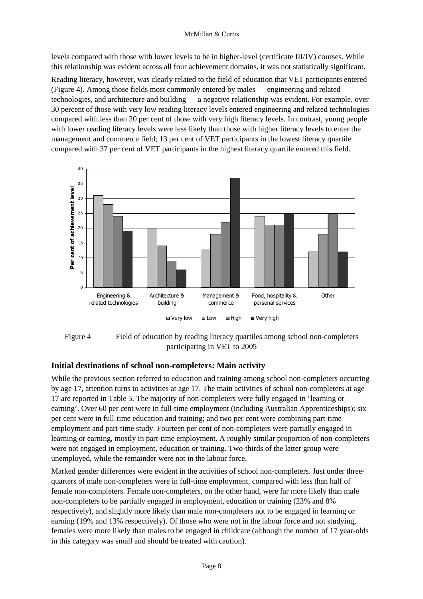#### McMillan & Curtis

levels compared with those with lower levels to be in higher-level (certificate III/IV) courses. While this relationship was evident across all four achievement domains, it was not statistically significant.

Reading literacy, however, was clearly related to the field of education that VET participants entered (Figure 4). Among those fields most commonly entered by males — engineering and related technologies, and architecture and building — a negative relationship was evident. For example, over 30 percent of those with very low reading literacy levels entered engineering and related technologies compared with less than 20 per cent of those with very high literacy levels. In contrast, young people with lower reading literacy levels were less likely than those with higher literacy levels to enter the management and commerce field; 13 per cent of VET participants in the lowest literacy quartile compared with 37 per cent of VET participants in the highest literacy quartile entered this field.





### **Initial destinations of school non-completers: Main activity**

While the previous section referred to education and training among school non-completers occurring by age 17, attention turns to activities at age 17. The main activities of school non-completers at age 17 are reported in Table 5. The majority of non-completers were fully engaged in 'learning or earning'. Over 60 per cent were in full-time employment (including Australian Apprenticeships); six per cent were in full-time education and training; and two per cent were combining part-time employment and part-time study. Fourteen per cent of non-completers were partially engaged in learning or earning, mostly in part-time employment. A roughly similar proportion of non-completers were not engaged in employment, education or training. Two-thirds of the latter group were unemployed, while the remainder were not in the labour force.

Marked gender differences were evident in the activities of school non-completers. Just under threequarters of male non-completers were in full-time employment, compared with less than half of female non-completers. Female non-completers, on the other hand, were far more likely than male non-completers to be partially engaged in employment, education or training (23% and 8% respectively), and slightly more likely than male non-completers not to be engaged in learning or earning (19% and 13% respectively). Of those who were not in the labour force and not studying, females were more likely than males to be engaged in childcare (although the number of 17 year-olds in this category was small and should be treated with caution).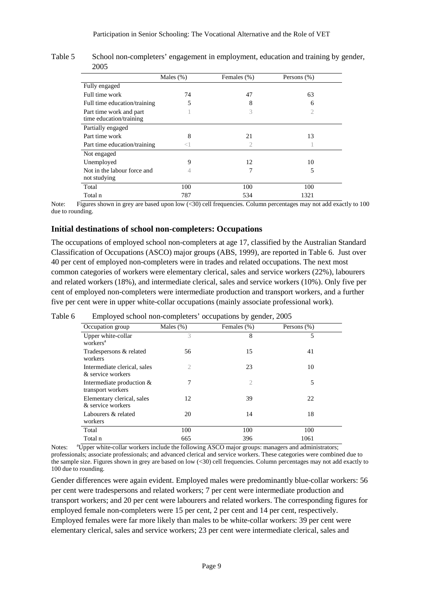|                                                    | Males $(\%)$ | Females (%) | Persons $(\%)$ |
|----------------------------------------------------|--------------|-------------|----------------|
| Fully engaged                                      |              |             |                |
| Full time work                                     | 74           | 47          | 63             |
| Full time education/training                       | 5            | 8           | 6              |
| Part time work and part<br>time education/training |              | 3           |                |
| Partially engaged                                  |              |             |                |
| Part time work                                     | 8            | 21          | 13             |
| Part time education/training                       | 7            | 2           |                |
| Not engaged                                        |              |             |                |
| Unemployed                                         | 9            | 12          | 10             |
| Not in the labour force and<br>not studying        |              | 7           | 5              |
| Total                                              | 100          | 100         | 100            |
| Total n                                            | 787          | 534         | 1321           |

Table 5 School non-completers' engagement in employment, education and training by gender, 2005

Note: Figures shown in grey are based upon low (<30) cell frequencies. Column percentages may not add exactly to 100 due to rounding.

### **Initial destinations of school non-completers: Occupations**

The occupations of employed school non-completers at age 17, classified by the Australian Standard Classification of Occupations (ASCO) major groups (ABS, 1999), are reported in Table 6. Just over 40 per cent of employed non-completers were in trades and related occupations. The next most common categories of workers were elementary clerical, sales and service workers (22%), labourers and related workers (18%), and intermediate clerical, sales and service workers (10%). Only five per cent of employed non-completers were intermediate production and transport workers, and a further five per cent were in upper white-collar occupations (mainly associate professional work).

| Occupation group                                  | Males $(\%)$ | Females (%)    | Persons $(\%)$ |
|---------------------------------------------------|--------------|----------------|----------------|
| Upper white-collar<br>workers <sup>a</sup>        | 3            | 8              | 5              |
| Tradespersons & related<br>workers                | 56           | 15             | 41             |
| Intermediate clerical, sales<br>& service workers | 2            | 23             | 10             |
| Intermediate production $&$<br>transport workers  | 7            | $\mathfrak{2}$ | 5              |
| Elementary clerical, sales<br>& service workers   | 12           | 39             | 22             |
| Labourers & related<br>workers                    | 20           | 14             | 18             |
| Total                                             | 100          | 100            | 100            |
| Total n                                           | 665          | 396            | 1061           |

Table 6 Employed school non-completers' occupations by gender, 2005

Notes: <sup>a</sup>Upper white-collar workers include the following ASCO major groups: managers and administrators; professionals; associate professionals; and advanced clerical and service workers. These categories were combined due to the sample size. Figures shown in grey are based on low (<30) cell frequencies. Column percentages may not add exactly to 100 due to rounding.

Gender differences were again evident. Employed males were predominantly blue-collar workers: 56 per cent were tradespersons and related workers; 7 per cent were intermediate production and transport workers; and 20 per cent were labourers and related workers. The corresponding figures for employed female non-completers were 15 per cent, 2 per cent and 14 per cent, respectively. Employed females were far more likely than males to be white-collar workers: 39 per cent were elementary clerical, sales and service workers; 23 per cent were intermediate clerical, sales and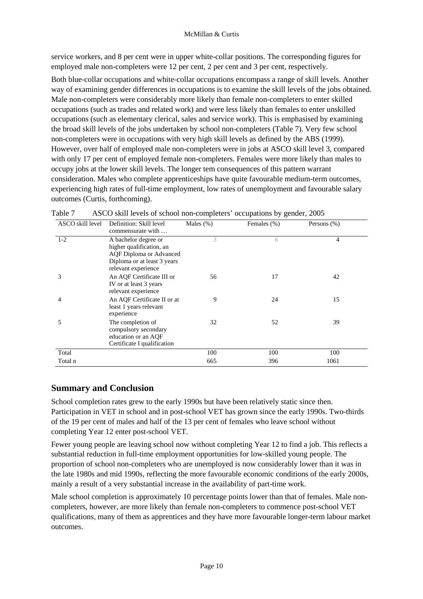service workers, and 8 per cent were in upper white-collar positions. The corresponding figures for employed male non-completers were 12 per cent, 2 per cent and 3 per cent, respectively.

Both blue-collar occupations and white-collar occupations encompass a range of skill levels. Another way of examining gender differences in occupations is to examine the skill levels of the jobs obtained. Male non-completers were considerably more likely than female non-completers to enter skilled occupations (such as trades and related work) and were less likely than females to enter unskilled occupations (such as elementary clerical, sales and service work). This is emphasised by examining the broad skill levels of the jobs undertaken by school non-completers (Table 7). Very few school non-completers were in occupations with very high skill levels as defined by the ABS (1999). However, over half of employed male non-completers were in jobs at ASCO skill level 3, compared with only 17 per cent of employed female non-completers. Females were more likely than males to occupy jobs at the lower skill levels. The longer tem consequences of this pattern warrant consideration. Males who complete apprenticeships have quite favourable medium-term outcomes, experiencing high rates of full-time employment, low rates of unemployment and favourable salary outcomes (Curtis, forthcoming).

|                  |                                                                                                                                   | л.           | ັັ          |             |
|------------------|-----------------------------------------------------------------------------------------------------------------------------------|--------------|-------------|-------------|
| ASCO skill level | Definition: Skill level<br>commensurate with                                                                                      | Males $(\%)$ | Females (%) | Persons (%) |
| $1 - 2$          | A bachelor degree or<br>higher qualification, an<br>AQF Diploma or Advanced<br>Diploma or at least 3 years<br>relevant experience | 3            | 6           | 4           |
| 3                | An AQF Certificate III or<br>IV or at least 3 years<br>relevant experience                                                        | 56           | 17          | 42          |
| 4                | An AQF Certificate II or at<br>least 1 years relevant<br>experience                                                               | 9            | 24          | 15          |
| 5                | The completion of<br>compulsory secondary<br>education or an AQF<br>Certificate I qualification                                   | 32           | 52          | 39          |
| Total            |                                                                                                                                   | 100          | 100         | 100         |
| Total n          |                                                                                                                                   | 665          | 396         | 1061        |

| Table 7 | ASCO skill levels of school non-completers' occupations by gender, 2005 |  |  |
|---------|-------------------------------------------------------------------------|--|--|
|         |                                                                         |  |  |

## **Summary and Conclusion**

School completion rates grew to the early 1990s but have been relatively static since then. Participation in VET in school and in post-school VET has grown since the early 1990s. Two-thirds of the 19 per cent of males and half of the 13 per cent of females who leave school without completing Year 12 enter post-school VET.

Fewer young people are leaving school now without completing Year 12 to find a job. This reflects a substantial reduction in full-time employment opportunities for low-skilled young people. The proportion of school non-completers who are unemployed is now considerably lower than it was in the late 1980s and mid 1990s, reflecting the more favourable economic conditions of the early 2000s, mainly a result of a very substantial increase in the availability of part-time work.

Male school completion is approximately 10 percentage points lower than that of females. Male noncompleters, however, are more likely than female non-completers to commence post-school VET qualifications, many of them as apprentices and they have more favourable longer-term labour market outcomes.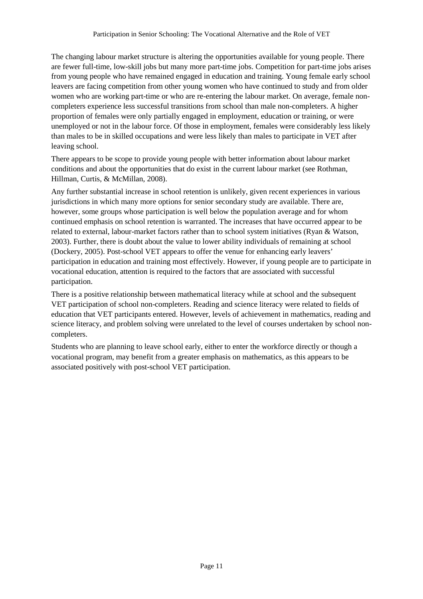The changing labour market structure is altering the opportunities available for young people. There are fewer full-time, low-skill jobs but many more part-time jobs. Competition for part-time jobs arises from young people who have remained engaged in education and training. Young female early school leavers are facing competition from other young women who have continued to study and from older women who are working part-time or who are re-entering the labour market. On average, female noncompleters experience less successful transitions from school than male non-completers. A higher proportion of females were only partially engaged in employment, education or training, or were unemployed or not in the labour force. Of those in employment, females were considerably less likely than males to be in skilled occupations and were less likely than males to participate in VET after leaving school.

There appears to be scope to provide young people with better information about labour market conditions and about the opportunities that do exist in the current labour market (see Rothman, Hillman, Curtis, & McMillan, 2008).

Any further substantial increase in school retention is unlikely, given recent experiences in various jurisdictions in which many more options for senior secondary study are available. There are, however, some groups whose participation is well below the population average and for whom continued emphasis on school retention is warranted. The increases that have occurred appear to be related to external, labour-market factors rather than to school system initiatives (Ryan & Watson, 2003). Further, there is doubt about the value to lower ability individuals of remaining at school (Dockery, 2005). Post-school VET appears to offer the venue for enhancing early leavers' participation in education and training most effectively. However, if young people are to participate in vocational education, attention is required to the factors that are associated with successful participation.

There is a positive relationship between mathematical literacy while at school and the subsequent VET participation of school non-completers. Reading and science literacy were related to fields of education that VET participants entered. However, levels of achievement in mathematics, reading and science literacy, and problem solving were unrelated to the level of courses undertaken by school noncompleters.

Students who are planning to leave school early, either to enter the workforce directly or though a vocational program, may benefit from a greater emphasis on mathematics, as this appears to be associated positively with post-school VET participation.